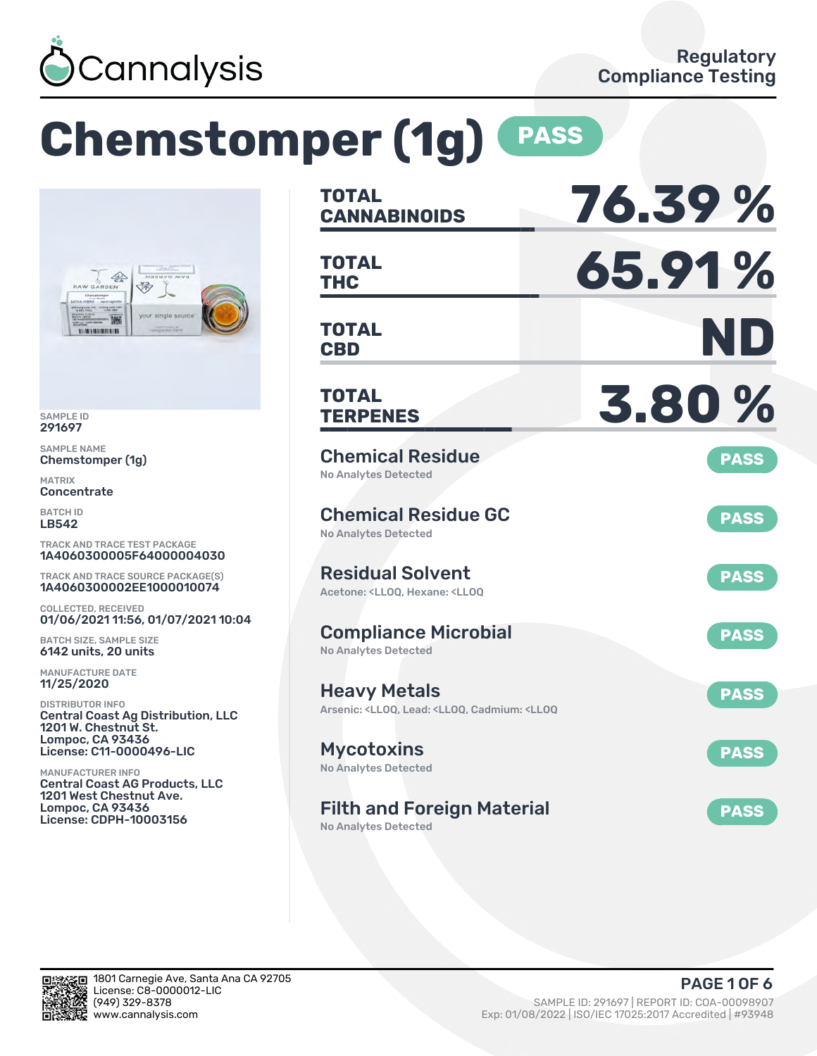

# **Chemstomper (1g) PASS**



SAMPLE ID 291697

SAMPLE NAME Chemstomper (1g)

MATRIX **Concentrate** 

BATCH ID LB542

TRACK AND TRACE TEST PACKAGE 1A4060300005F64000004030

TRACK AND TRACE SOURCE PACKAGE(S) 1A4060300002EE1000010074

COLLECTED, RECEIVED 01/06/2021 11:56, 01/07/2021 10:04

BATCH SIZE, SAMPLE SIZE 6142 units, 20 units

MANUFACTURE DATE 11/25/2020

DISTRIBUTOR INFO Central Coast Ag Distribution, LLC 1201 W. Chestnut St. Lompoc, CA 93436 License: C11-0000496-LIC

MANUFACTURER INFO Central Coast AG Products, LLC 1201 West Chestnut Ave. Lompoc, CA 93436 License: CDPH-10003156

| <b>TOTAL</b><br><b>CANNABINOIDS</b>                                                                                | 76.39%      |
|--------------------------------------------------------------------------------------------------------------------|-------------|
| <b>TOTAL</b><br><b>THC</b>                                                                                         | 65.91%      |
| <b>TOTAL</b><br><b>CBD</b>                                                                                         | ND          |
| <b>TOTAL</b><br><b>TERPENES</b>                                                                                    | 3.80%       |
| <b>Chemical Residue</b><br><b>No Analytes Detected</b>                                                             | <b>PASS</b> |
| <b>Chemical Residue GC</b><br><b>No Analytes Detected</b>                                                          | <b>PASS</b> |
| <b>Residual Solvent</b><br>Acetone: <ll00. <ll00<="" hexane:="" td=""><td><b>PASS</b></td></ll00.>                 | <b>PASS</b> |
| <b>Compliance Microbial</b><br><b>No Analytes Detected</b>                                                         | <b>PASS</b> |
| <b>Heavy Metals</b><br>Arsenic: <lloq, <lloq,="" <lloq<="" cadmium:="" lead:="" td=""><td><b>PASS</b></td></lloq,> | <b>PASS</b> |
| <b>Mycotoxins</b><br>No Analytes Detected                                                                          | <b>PASS</b> |
| <b>Filth and Foreign Material</b>                                                                                  | <b>PASS</b> |

No Analytes Detected

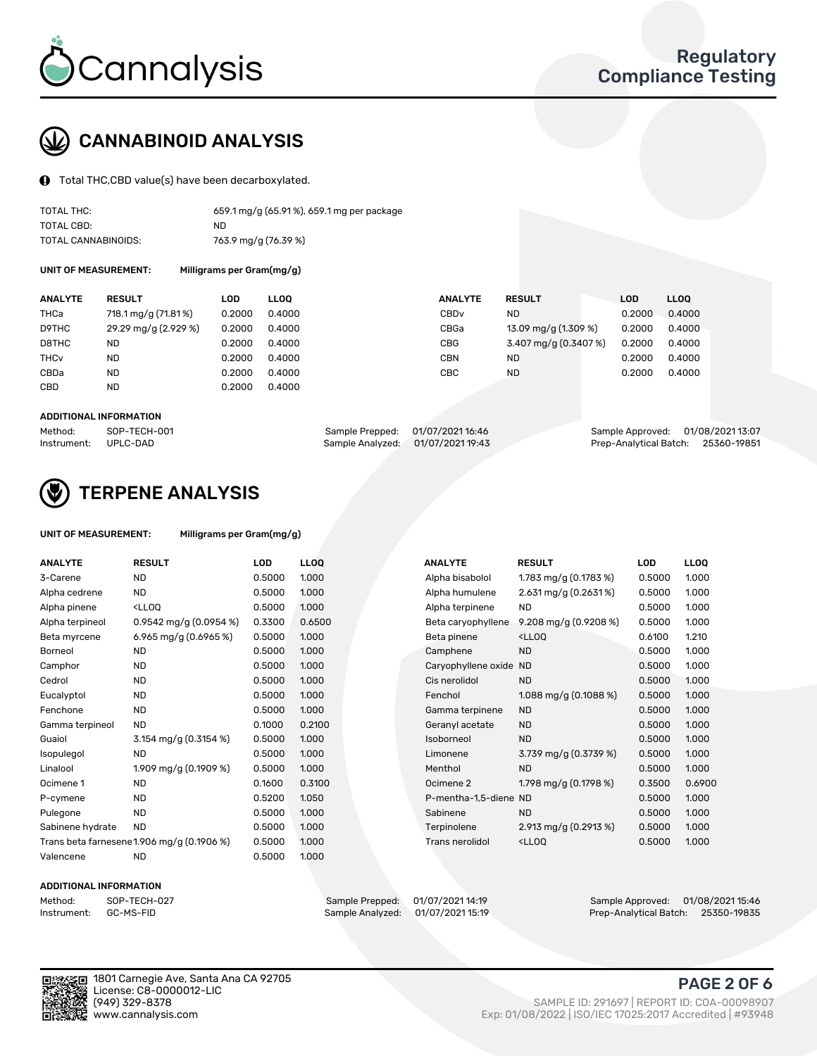

# CANNABINOID ANALYSIS

Total THC,CBD value(s) have been decarboxylated.

| TOTAL THC:          | 659.1 mg/g (65.91%), 659.1 mg per package |
|---------------------|-------------------------------------------|
| TOTAL CBD:          | ND.                                       |
| TOTAL CANNABINOIDS: | 763.9 mg/g (76.39 %)                      |

UNIT OF MEASUREMENT: Milligrams per Gram(mg/g)

| <b>ANALYTE</b>         | <b>RESULT</b>        | LOD    | <b>LLOO</b> | <b>ANALYTE</b>   | <b>RESULT</b>         | <b>LOD</b> | <b>LLOO</b> |
|------------------------|----------------------|--------|-------------|------------------|-----------------------|------------|-------------|
| THCa                   | 718.1 mg/g (71.81%)  | 0.2000 | 0.4000      | CBD <sub>v</sub> | <b>ND</b>             | 0.2000     | 0.4000      |
| D9THC                  | 29.29 mg/g (2.929 %) | 0.2000 | 0.4000      | CBGa             | 13.09 mg/g (1.309 %)  | 0.2000     | 0.4000      |
| D8THC                  | ND                   | 0.2000 | 0.4000      | <b>CBG</b>       | 3.407 mg/g (0.3407 %) | 0.2000     | 0.4000      |
| <b>THC<sub>v</sub></b> | <b>ND</b>            | 0.2000 | 0.4000      | CBN              | <b>ND</b>             | 0.2000     | 0.4000      |
| CBDa                   | <b>ND</b>            | 0.2000 | 0.4000      | CBC              | <b>ND</b>             | 0.2000     | 0.4000      |
| <b>CBD</b>             | <b>ND</b>            | 0.2000 | 0.4000      |                  |                       |            |             |
|                        |                      |        |             |                  |                       |            |             |

#### ADDITIONAL INFORMATION

| Method:              | SOP-TECH-001 | Sample Prepped: 01/07/2021 16:46 |                                   | Sample Approved: 01/08/2021 13:07  |  |
|----------------------|--------------|----------------------------------|-----------------------------------|------------------------------------|--|
| Instrument: UPLC-DAD |              |                                  | Sample Analyzed: 01/07/2021 19:43 | Prep-Analytical Batch: 25360-19851 |  |



## TERPENE ANALYSIS

| UNIT OF MEASUREMENT: | Milligrams per Gram(mg/g) |
|----------------------|---------------------------|
|                      |                           |

| <b>ANALYTE</b>   | <b>RESULT</b>                                                                                                             | <b>LOD</b> | <b>LLOQ</b> | <b>ANALYTE</b>         | <b>RESULT</b>                                      | <b>LOD</b> | <b>LLOQ</b> |
|------------------|---------------------------------------------------------------------------------------------------------------------------|------------|-------------|------------------------|----------------------------------------------------|------------|-------------|
| 3-Carene         | <b>ND</b>                                                                                                                 | 0.5000     | 1.000       | Alpha bisabolol        | 1.783 mg/g $(0.1783%)$                             | 0.5000     | 1.000       |
| Alpha cedrene    | <b>ND</b>                                                                                                                 | 0.5000     | 1.000       | Alpha humulene         | $2.631$ mg/g $(0.2631\%)$                          | 0.5000     | 1.000       |
| Alpha pinene     | <ll0q< td=""><td>0.5000</td><td>1.000</td><td>Alpha terpinene</td><td><b>ND</b></td><td>0.5000</td><td>1.000</td></ll0q<> | 0.5000     | 1.000       | Alpha terpinene        | <b>ND</b>                                          | 0.5000     | 1.000       |
| Alpha terpineol  | 0.9542 mg/g $(0.0954\%)$                                                                                                  | 0.3300     | 0.6500      | Beta caryophyllene     | 9.208 mg/g (0.9208 %)                              | 0.5000     | 1.000       |
| Beta myrcene     | 6.965 mg/g (0.6965 %)                                                                                                     | 0.5000     | 1.000       | Beta pinene            | <lloq< td=""><td>0.6100</td><td>1.210</td></lloq<> | 0.6100     | 1.210       |
| Borneol          | <b>ND</b>                                                                                                                 | 0.5000     | 1.000       | Camphene               | <b>ND</b>                                          | 0.5000     | 1.000       |
| Camphor          | <b>ND</b>                                                                                                                 | 0.5000     | 1.000       | Caryophyllene oxide ND |                                                    | 0.5000     | 1.000       |
| Cedrol           | <b>ND</b>                                                                                                                 | 0.5000     | 1.000       | Cis nerolidol          | <b>ND</b>                                          | 0.5000     | 1.000       |
| Eucalyptol       | <b>ND</b>                                                                                                                 | 0.5000     | 1.000       | Fenchol                | 1.088 mg/g $(0.1088\%)$                            | 0.5000     | 1.000       |
| Fenchone         | <b>ND</b>                                                                                                                 | 0.5000     | 1.000       | Gamma terpinene        | <b>ND</b>                                          | 0.5000     | 1.000       |
| Gamma terpineol  | <b>ND</b>                                                                                                                 | 0.1000     | 0.2100      | Geranyl acetate        | <b>ND</b>                                          | 0.5000     | 1.000       |
| Guaiol           | 3.154 mg/g (0.3154 %)                                                                                                     | 0.5000     | 1.000       | Isoborneol             | <b>ND</b>                                          | 0.5000     | 1.000       |
| Isopulegol       | <b>ND</b>                                                                                                                 | 0.5000     | 1.000       | Limonene               | 3.739 mg/g (0.3739 %)                              | 0.5000     | 1.000       |
| Linalool         | 1.909 mg/g (0.1909 %)                                                                                                     | 0.5000     | 1.000       | Menthol                | <b>ND</b>                                          | 0.5000     | 1.000       |
| Ocimene 1        | <b>ND</b>                                                                                                                 | 0.1600     | 0.3100      | Ocimene 2              | 1.798 mg/g (0.1798 %)                              | 0.3500     | 0.6900      |
| P-cymene         | <b>ND</b>                                                                                                                 | 0.5200     | 1.050       | P-mentha-1,5-diene ND  |                                                    | 0.5000     | 1.000       |
| Pulegone         | <b>ND</b>                                                                                                                 | 0.5000     | 1.000       | Sabinene               | <b>ND</b>                                          | 0.5000     | 1.000       |
| Sabinene hydrate | <b>ND</b>                                                                                                                 | 0.5000     | 1.000       | Terpinolene            | 2.913 mg/g $(0.2913\%)$                            | 0.5000     | 1.000       |
|                  | Trans beta farnesene1.906 mg/g (0.1906 %)                                                                                 | 0.5000     | 1.000       | <b>Trans nerolidol</b> | <lloq< td=""><td>0.5000</td><td>1.000</td></lloq<> | 0.5000     | 1.000       |
| Valencene        | <b>ND</b>                                                                                                                 | 0.5000     | 1.000       |                        |                                                    |            |             |

#### ADDITIONAL INFORMATION

| Method:     | SOP-TECH  |
|-------------|-----------|
| Instrument: | GC-MS-FIL |

Method: SOP-TECH-027 Sample Prepped: 01/07/2021 14:19 Sample Approved: 01/08/2021 15:46 Instrument: GC-MS-FID Sample Analyzed: 01/07/2021 15:19 Prep-Analytical Batch: 25350-19835



1801 Carnegie Ave, Santa Ana CA 92705 License: C8-0000012-LIC<br>(949) 329-8378

## PAGE 2 OF 6

(949) 329-8378 SAMPLE ID: 291697 | REPORT ID: COA-00098907 Exp: 01/08/2022 | ISO/IEC 17025:2017 Accredited | #93948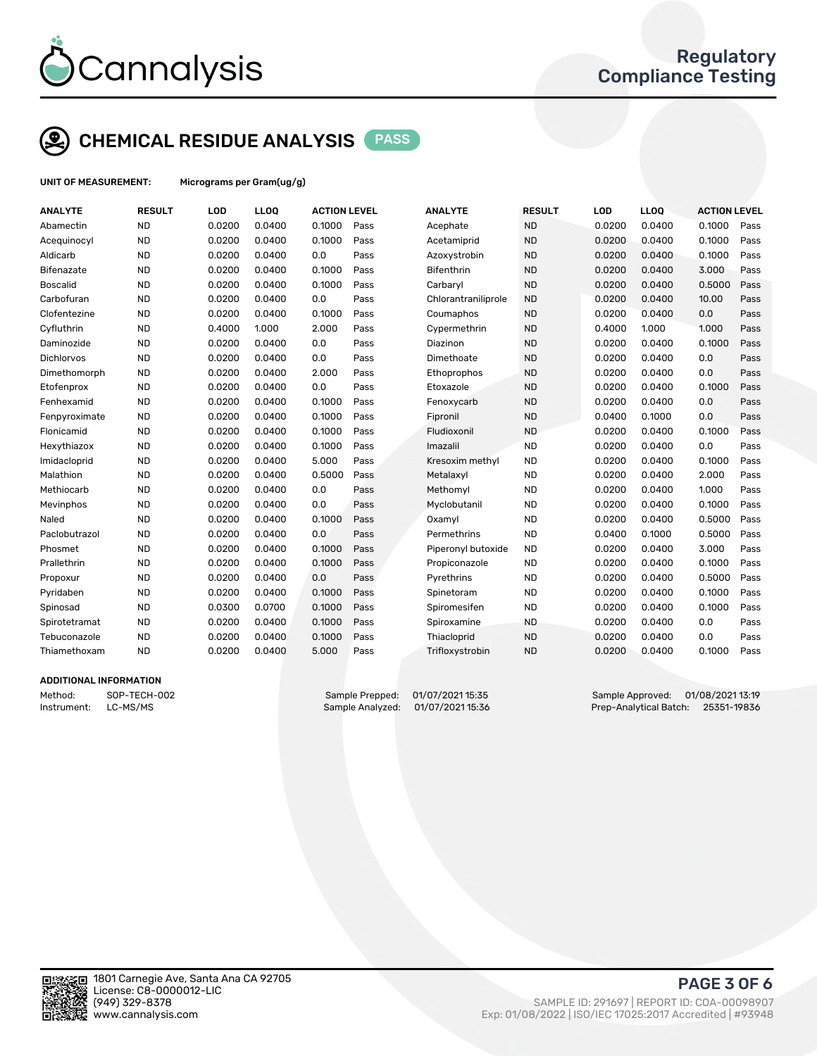

# CHEMICAL RESIDUE ANALYSIS PASS

UNIT OF MEASUREMENT: Micrograms per Gram(ug/g)

| <b>ANALYTE</b>  | <b>RESULT</b> | LOD    | LLOQ   | <b>ACTION LEVEL</b> |      | <b>ANALYTE</b>      | <b>RESULT</b> | LOD    | <b>LLOQ</b> | <b>ACTION LEVEL</b> |      |
|-----------------|---------------|--------|--------|---------------------|------|---------------------|---------------|--------|-------------|---------------------|------|
| Abamectin       | <b>ND</b>     | 0.0200 | 0.0400 | 0.1000              | Pass | Acephate            | <b>ND</b>     | 0.0200 | 0.0400      | 0.1000              | Pass |
| Acequinocyl     | <b>ND</b>     | 0.0200 | 0.0400 | 0.1000              | Pass | Acetamiprid         | <b>ND</b>     | 0.0200 | 0.0400      | 0.1000              | Pass |
| Aldicarb        | <b>ND</b>     | 0.0200 | 0.0400 | 0.0                 | Pass | Azoxystrobin        | <b>ND</b>     | 0.0200 | 0.0400      | 0.1000              | Pass |
| Bifenazate      | <b>ND</b>     | 0.0200 | 0.0400 | 0.1000              | Pass | Bifenthrin          | <b>ND</b>     | 0.0200 | 0.0400      | 3.000               | Pass |
| <b>Boscalid</b> | <b>ND</b>     | 0.0200 | 0.0400 | 0.1000              | Pass | Carbaryl            | <b>ND</b>     | 0.0200 | 0.0400      | 0.5000              | Pass |
| Carbofuran      | <b>ND</b>     | 0.0200 | 0.0400 | 0.0                 | Pass | Chlorantraniliprole | <b>ND</b>     | 0.0200 | 0.0400      | 10.00               | Pass |
| Clofentezine    | <b>ND</b>     | 0.0200 | 0.0400 | 0.1000              | Pass | Coumaphos           | <b>ND</b>     | 0.0200 | 0.0400      | 0.0                 | Pass |
| Cyfluthrin      | <b>ND</b>     | 0.4000 | 1.000  | 2.000               | Pass | Cypermethrin        | <b>ND</b>     | 0.4000 | 1.000       | 1.000               | Pass |
| Daminozide      | <b>ND</b>     | 0.0200 | 0.0400 | 0.0                 | Pass | Diazinon            | <b>ND</b>     | 0.0200 | 0.0400      | 0.1000              | Pass |
| Dichlorvos      | <b>ND</b>     | 0.0200 | 0.0400 | 0.0                 | Pass | Dimethoate          | <b>ND</b>     | 0.0200 | 0.0400      | 0.0                 | Pass |
| Dimethomorph    | <b>ND</b>     | 0.0200 | 0.0400 | 2.000               | Pass | Ethoprophos         | <b>ND</b>     | 0.0200 | 0.0400      | 0.0                 | Pass |
| Etofenprox      | <b>ND</b>     | 0.0200 | 0.0400 | 0.0                 | Pass | Etoxazole           | <b>ND</b>     | 0.0200 | 0.0400      | 0.1000              | Pass |
| Fenhexamid      | <b>ND</b>     | 0.0200 | 0.0400 | 0.1000              | Pass | Fenoxycarb          | <b>ND</b>     | 0.0200 | 0.0400      | 0.0                 | Pass |
| Fenpyroximate   | <b>ND</b>     | 0.0200 | 0.0400 | 0.1000              | Pass | Fipronil            | <b>ND</b>     | 0.0400 | 0.1000      | 0.0                 | Pass |
| Flonicamid      | <b>ND</b>     | 0.0200 | 0.0400 | 0.1000              | Pass | Fludioxonil         | <b>ND</b>     | 0.0200 | 0.0400      | 0.1000              | Pass |
| Hexythiazox     | <b>ND</b>     | 0.0200 | 0.0400 | 0.1000              | Pass | Imazalil            | <b>ND</b>     | 0.0200 | 0.0400      | 0.0                 | Pass |
| Imidacloprid    | <b>ND</b>     | 0.0200 | 0.0400 | 5.000               | Pass | Kresoxim methyl     | <b>ND</b>     | 0.0200 | 0.0400      | 0.1000              | Pass |
| Malathion       | <b>ND</b>     | 0.0200 | 0.0400 | 0.5000              | Pass | Metalaxyl           | <b>ND</b>     | 0.0200 | 0.0400      | 2.000               | Pass |
| Methiocarb      | <b>ND</b>     | 0.0200 | 0.0400 | 0.0                 | Pass | Methomyl            | <b>ND</b>     | 0.0200 | 0.0400      | 1.000               | Pass |
| Mevinphos       | <b>ND</b>     | 0.0200 | 0.0400 | 0.0                 | Pass | Myclobutanil        | <b>ND</b>     | 0.0200 | 0.0400      | 0.1000              | Pass |
| Naled           | <b>ND</b>     | 0.0200 | 0.0400 | 0.1000              | Pass | Oxamyl              | <b>ND</b>     | 0.0200 | 0.0400      | 0.5000              | Pass |
| Paclobutrazol   | <b>ND</b>     | 0.0200 | 0.0400 | 0.0                 | Pass | Permethrins         | <b>ND</b>     | 0.0400 | 0.1000      | 0.5000              | Pass |
| Phosmet         | <b>ND</b>     | 0.0200 | 0.0400 | 0.1000              | Pass | Piperonyl butoxide  | <b>ND</b>     | 0.0200 | 0.0400      | 3.000               | Pass |
| Prallethrin     | <b>ND</b>     | 0.0200 | 0.0400 | 0.1000              | Pass | Propiconazole       | <b>ND</b>     | 0.0200 | 0.0400      | 0.1000              | Pass |
| Propoxur        | <b>ND</b>     | 0.0200 | 0.0400 | 0.0                 | Pass | Pyrethrins          | <b>ND</b>     | 0.0200 | 0.0400      | 0.5000              | Pass |
| Pyridaben       | <b>ND</b>     | 0.0200 | 0.0400 | 0.1000              | Pass | Spinetoram          | <b>ND</b>     | 0.0200 | 0.0400      | 0.1000              | Pass |
| Spinosad        | <b>ND</b>     | 0.0300 | 0.0700 | 0.1000              | Pass | Spiromesifen        | <b>ND</b>     | 0.0200 | 0.0400      | 0.1000              | Pass |
| Spirotetramat   | <b>ND</b>     | 0.0200 | 0.0400 | 0.1000              | Pass | Spiroxamine         | <b>ND</b>     | 0.0200 | 0.0400      | 0.0                 | Pass |
| Tebuconazole    | <b>ND</b>     | 0.0200 | 0.0400 | 0.1000              | Pass | Thiacloprid         | <b>ND</b>     | 0.0200 | 0.0400      | 0.0                 | Pass |
| Thiamethoxam    | <b>ND</b>     | 0.0200 | 0.0400 | 5.000               | Pass | Trifloxystrobin     | <b>ND</b>     | 0.0200 | 0.0400      | 0.1000              | Pass |
|                 |               |        |        |                     |      |                     |               |        |             |                     |      |

### ADDITIONAL INFORMATION

Method: SOP-TECH-002 Sample Prepped: 01/07/2021 15:35 Sample Approved: 01/08/2021 13:19<br>Sample Analyzed: 01/07/2021 15:36 Prep-Analytical Batch: 25351-19836 Instrument: LC-MS/MS Sample Analyzed: 01/07/2021 15:36 Prep-Analytical Batch: 25351-19836



PAGE 3 OF 6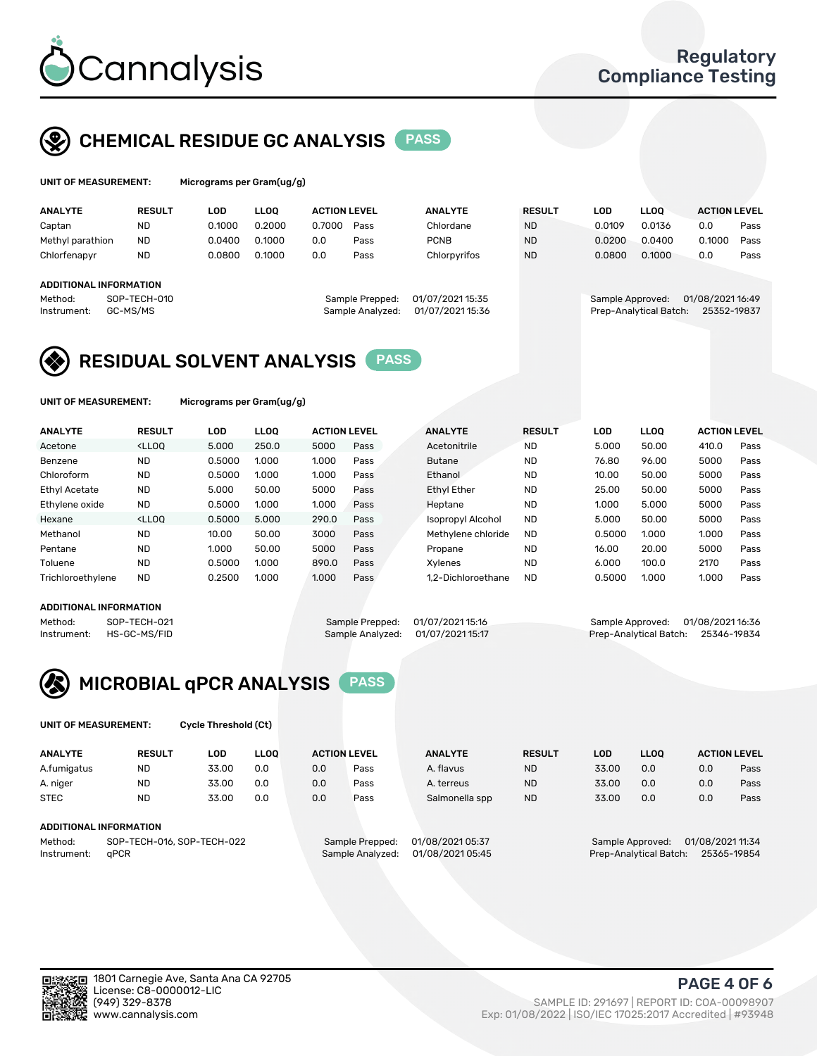

## CHEMICAL RESIDUE GC ANALYSIS PASS

| UNIT OF MEASUREMENT: |               | Micrograms per Gram(ug/g) |      |  |
|----------------------|---------------|---------------------------|------|--|
| <b>ANALYTE</b>       | <b>RESULT</b> | LOD                       | LLOO |  |

| <b>ANALYTE</b>                | <b>RESULT</b> | LOD    | <b>LLOO</b> | <b>ACTION LEVEL</b> |                  | <b>ANALYTE</b>   | <b>RESULT</b> | LOD              | <b>LLOO</b>            | <b>ACTION LEVEL</b> |      |
|-------------------------------|---------------|--------|-------------|---------------------|------------------|------------------|---------------|------------------|------------------------|---------------------|------|
| Captan                        | <b>ND</b>     | 0.1000 | 0.2000      | 0.7000              | Pass             | Chlordane        | <b>ND</b>     | 0.0109           | 0.0136                 | 0.0                 | Pass |
| Methyl parathion              | <b>ND</b>     | 0.0400 | 0.1000      | 0.0                 | Pass             | <b>PCNB</b>      | <b>ND</b>     | 0.0200           | 0.0400                 | 0.1000              | Pass |
| Chlorfenapyr                  | <b>ND</b>     | 0.0800 | 0.1000      | 0.0                 | Pass             | Chlorpyrifos     | <b>ND</b>     | 0.0800           | 0.1000                 | 0.0                 | Pass |
|                               |               |        |             |                     |                  |                  |               |                  |                        |                     |      |
| <b>ADDITIONAL INFORMATION</b> |               |        |             |                     |                  |                  |               |                  |                        |                     |      |
| Method:                       | SOP-TECH-010  |        |             |                     | Sample Prepped:  | 01/07/2021 15:35 |               | Sample Approved: |                        | 01/08/2021 16:49    |      |
| Instrument:                   | GC-MS/MS      |        |             |                     | Sample Analyzed: | 01/07/2021 15:36 |               |                  | Prep-Analytical Batch: | 25352-19837         |      |
|                               |               |        |             |                     |                  |                  |               |                  |                        |                     |      |

## RESIDUAL SOLVENT ANALYSIS PASS

UNIT OF MEASUREMENT: Micrograms per Gram(ug/g)

| <b>ANALYTE</b>       | <b>RESULT</b>                                                                                                                                                                          | LOD    | <b>LLOO</b> | <b>ACTION LEVEL</b> |      | <b>ANALYTE</b>           | <b>RESULT</b> | <b>LOD</b> | <b>LLOO</b> | <b>ACTION LEVEL</b> |      |
|----------------------|----------------------------------------------------------------------------------------------------------------------------------------------------------------------------------------|--------|-------------|---------------------|------|--------------------------|---------------|------------|-------------|---------------------|------|
| Acetone              | <lloq< td=""><td>5.000</td><td>250.0</td><td>5000</td><td>Pass</td><td>Acetonitrile</td><td><b>ND</b></td><td>5.000</td><td>50.00</td><td>410.0</td><td>Pass</td></lloq<>              | 5.000  | 250.0       | 5000                | Pass | Acetonitrile             | <b>ND</b>     | 5.000      | 50.00       | 410.0               | Pass |
| Benzene              | <b>ND</b>                                                                                                                                                                              | 0.5000 | 1.000       | 1.000               | Pass | <b>Butane</b>            | <b>ND</b>     | 76.80      | 96.00       | 5000                | Pass |
| Chloroform           | <b>ND</b>                                                                                                                                                                              | 0.5000 | 1.000       | 1.000               | Pass | Ethanol                  | <b>ND</b>     | 10.00      | 50.00       | 5000                | Pass |
| <b>Ethyl Acetate</b> | <b>ND</b>                                                                                                                                                                              | 5.000  | 50.00       | 5000                | Pass | <b>Ethyl Ether</b>       | <b>ND</b>     | 25.00      | 50.00       | 5000                | Pass |
| Ethylene oxide       | <b>ND</b>                                                                                                                                                                              | 0.5000 | 1.000       | 1.000               | Pass | Heptane                  | <b>ND</b>     | 1.000      | 5.000       | 5000                | Pass |
| Hexane               | <lloo< td=""><td>0.5000</td><td>5.000</td><td>290.0</td><td>Pass</td><td><b>Isopropyl Alcohol</b></td><td><b>ND</b></td><td>5.000</td><td>50.00</td><td>5000</td><td>Pass</td></lloo<> | 0.5000 | 5.000       | 290.0               | Pass | <b>Isopropyl Alcohol</b> | <b>ND</b>     | 5.000      | 50.00       | 5000                | Pass |
| Methanol             | <b>ND</b>                                                                                                                                                                              | 10.00  | 50.00       | 3000                | Pass | Methylene chloride       | <b>ND</b>     | 0.5000     | 1.000       | 1.000               | Pass |
| Pentane              | <b>ND</b>                                                                                                                                                                              | 1.000  | 50.00       | 5000                | Pass | Propane                  | <b>ND</b>     | 16.00      | 20.00       | 5000                | Pass |
| Toluene              | <b>ND</b>                                                                                                                                                                              | 0.5000 | 1.000       | 890.0               | Pass | Xvlenes                  | <b>ND</b>     | 6.000      | 100.0       | 2170                | Pass |
| Trichloroethylene    | <b>ND</b>                                                                                                                                                                              | 0.2500 | 1.000       | 1.000               | Pass | 1.2-Dichloroethane       | <b>ND</b>     | 0.5000     | 1.000       | 1.000               | Pass |

## ADDITIONAL INFORMATION

Method: SOP-TECH-021 Sample Prepped: 01/07/2021 15:16 Sample Approved: 01/08/2021 16:36<br>Instrument: HS-GC-MS/FID Sample Analyzed: 01/07/2021 15:17 Prep-Analytical Batch: 25346-19834 Prep-Analytical Batch: 25346-19834



UNIT OF MEASUREMENT: Cycle Threshold (Ct)

| <b>ANALYTE</b>                        | <b>RESULT</b> | LOD   | <b>LLOO</b> | <b>ACTION LEVEL</b> |                  | <b>ANALYTE</b>   | <b>RESULT</b>                        | LOD   | <b>LLOO</b>            |     | <b>ACTION LEVEL</b> |
|---------------------------------------|---------------|-------|-------------|---------------------|------------------|------------------|--------------------------------------|-------|------------------------|-----|---------------------|
| A.fumigatus                           | <b>ND</b>     | 33.00 | 0.0         | 0.0                 | Pass             | A. flavus        | <b>ND</b>                            | 33.00 | 0.0                    | 0.0 | Pass                |
| A. niger                              | <b>ND</b>     | 33.00 | 0.0         | 0.0                 | Pass             | A. terreus       | <b>ND</b>                            | 33.00 | 0.0                    | 0.0 | Pass                |
| <b>STEC</b>                           | <b>ND</b>     | 33.00 | 0.0         | 0.0                 | Pass             | Salmonella spp   | <b>ND</b>                            | 33.00 | 0.0                    | 0.0 | Pass                |
| ADDITIONAL INFORMATION                |               |       |             |                     |                  |                  |                                      |       |                        |     |                     |
| SOP-TECH-016, SOP-TECH-022<br>Method: |               |       |             | Sample Prepped:     | 01/08/2021 05:37 |                  | 01/08/2021 11:34<br>Sample Approved: |       |                        |     |                     |
| Instrument:                           | aPCR          |       |             |                     | Sample Analyzed: | 01/08/2021 05:45 |                                      |       | Prep-Analytical Batch: |     | 25365-19854         |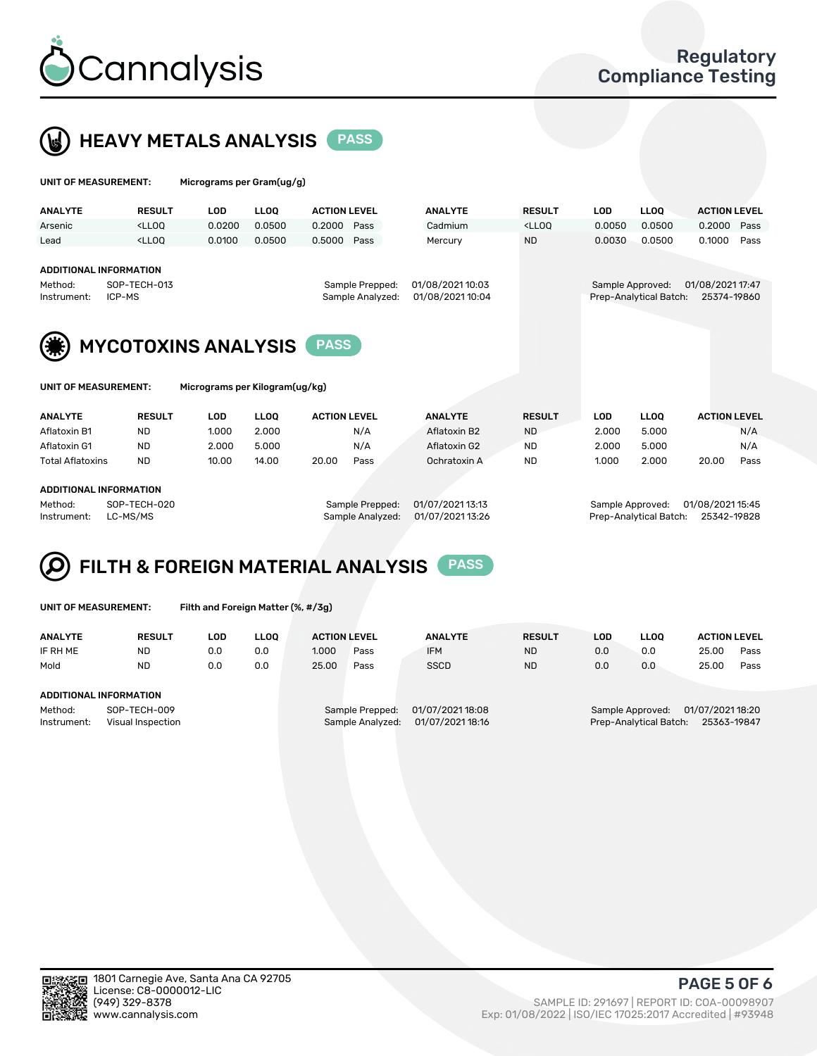

# **HEAVY METALS ANALYSIS** PASS

|  | UNIT OF MEASUREMENT: | Micrograms per Gram(ug/g) |
|--|----------------------|---------------------------|
|--|----------------------|---------------------------|

| <b>ANALYTE</b>         | <b>RESULT</b>                                                                                                                                                                        | LOD    | <b>LLOO</b> | <b>ACTION LEVEL</b>                 | <b>ANALYTE</b>                       | <b>RESULT</b>                                                                    | LOD    | <b>LLOO</b>                                | <b>ACTION LEVEL</b>             |      |
|------------------------|--------------------------------------------------------------------------------------------------------------------------------------------------------------------------------------|--------|-------------|-------------------------------------|--------------------------------------|----------------------------------------------------------------------------------|--------|--------------------------------------------|---------------------------------|------|
| Arsenic                | <lloo< td=""><td>0.0200</td><td>0.0500</td><td>0.2000<br/>Pass</td><td>Cadmium</td><td><lloq< td=""><td>0.0050</td><td>0.0500</td><td>0.2000 Pass</td><td></td></lloq<></td></lloo<> | 0.0200 | 0.0500      | 0.2000<br>Pass                      | Cadmium                              | <lloq< td=""><td>0.0050</td><td>0.0500</td><td>0.2000 Pass</td><td></td></lloq<> | 0.0050 | 0.0500                                     | 0.2000 Pass                     |      |
| Lead                   | <lloo< td=""><td>0.0100</td><td>0.0500</td><td>0.5000<br/>Pass</td><td>Mercury</td><td><b>ND</b></td><td>0.0030</td><td>0.0500</td><td>0.1000</td><td>Pass</td></lloo<>              | 0.0100 | 0.0500      | 0.5000<br>Pass                      | Mercury                              | <b>ND</b>                                                                        | 0.0030 | 0.0500                                     | 0.1000                          | Pass |
|                        | ADDITIONAL INFORMATION                                                                                                                                                               |        |             |                                     |                                      |                                                                                  |        |                                            |                                 |      |
| Method:<br>Instrument: | SOP-TECH-013<br>ICP-MS                                                                                                                                                               |        |             | Sample Prepped:<br>Sample Analyzed: | 01/08/2021 10:03<br>01/08/2021 10:04 |                                                                                  |        | Sample Approved:<br>Prep-Analytical Batch: | 01/08/2021 17:47<br>25374-19860 |      |
|                        |                                                                                                                                                                                      |        |             |                                     |                                      |                                                                                  |        |                                            |                                 |      |
|                        |                                                                                                                                                                                      |        |             |                                     |                                      |                                                                                  |        |                                            |                                 |      |



| UNIT OF MEASUREMENT: |  |
|----------------------|--|
|----------------------|--|

Micrograms per Kilogram(ug/kg)

| <b>ANALYTE</b>          | <b>RESULT</b> | LOD   | <b>LLOO</b> | <b>ACTION LEVEL</b> |      | <b>ANALYTE</b> | <b>RESULT</b> | LOD   | <b>LLOO</b> |       | <b>ACTION LEVEL</b> |
|-------------------------|---------------|-------|-------------|---------------------|------|----------------|---------------|-------|-------------|-------|---------------------|
| Aflatoxin B1            | <b>ND</b>     | 1.000 | 2.000       |                     | N/A  | Aflatoxin B2   | <b>ND</b>     | 2.000 | 5.000       |       | N/A                 |
| Aflatoxin G1            | <b>ND</b>     | 2.000 | 5.000       |                     | N/A  | Aflatoxin G2   | <b>ND</b>     | 2.000 | 5.000       |       | N/A                 |
| <b>Total Aflatoxins</b> | <b>ND</b>     | 10.00 | 14.00       | 20.00               | Pass | Ochratoxin A   | <b>ND</b>     | 1.000 | 2.000       | 20.00 | Pass                |
|                         |               |       |             |                     |      |                |               |       |             |       |                     |

#### ADDITIONAL INFORMATION

Method: SOP-TECH-020 Sample Prepped: 01/07/2021 13:13 Sample Approved: 01/08/2021 15:45 Instrument: LC-MS/MS Sample Analyzed: 01/07/2021 13:26 Prep-Analytical Batch: 25342-19828

# FILTH & FOREIGN MATERIAL ANALYSIS PASS

UNIT OF MEASUREMENT: Filth and Foreign Matter (%, #/3g)

| <b>ANALYTE</b>                                              | <b>RESULT</b>                 | LOD | <b>LLOO</b> | <b>ACTION LEVEL</b> |                                     | <b>ANALYTE</b>                       | <b>RESULT</b> | LOD | LLOO                                       | <b>ACTION LEVEL</b>             |      |
|-------------------------------------------------------------|-------------------------------|-----|-------------|---------------------|-------------------------------------|--------------------------------------|---------------|-----|--------------------------------------------|---------------------------------|------|
| IF RH ME                                                    | <b>ND</b>                     | 0.0 | 0.0         | 1.000               | Pass                                | <b>IFM</b>                           | <b>ND</b>     | 0.0 | 0.0                                        | 25.00                           | Pass |
| Mold                                                        | <b>ND</b>                     | 0.0 | 0.0         | 25.00               | Pass                                | <b>SSCD</b>                          | <b>ND</b>     | 0.0 | 0.0                                        | 25.00                           | Pass |
|                                                             | <b>ADDITIONAL INFORMATION</b> |     |             |                     |                                     |                                      |               |     |                                            |                                 |      |
| Method:<br>SOP-TECH-009<br>Instrument:<br>Visual Inspection |                               |     |             |                     | Sample Prepped:<br>Sample Analyzed: | 01/07/2021 18:08<br>01/07/2021 18:16 |               |     | Sample Approved:<br>Prep-Analytical Batch: | 01/07/2021 18:20<br>25363-19847 |      |



PAGE 5 OF 6